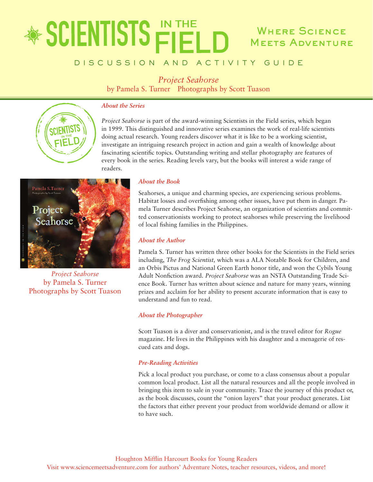## \* SCIENTISTS FIELD **WHERE SCIENCE MEETS ADVENTURE**

## D I S C U S S I O N A N D A C T I V I T Y G U I D E

*Project Seahorse*

by Pamela S. Turner Photographs by Scott Tuason

#### *About the Series*



*Project Seahorse* is part of the award-winning Scientists in the Field series, which began in 1999. This distinguished and innovative series examines the work of real-life scientists doing actual research. Young readers discover what it is like to be a working scientist, investigate an intriguing research project in action and gain a wealth of knowledge about fascinating scientific topics. Outstanding writing and stellar photography are features of every book in the series. Reading levels vary, but the books will interest a wide range of readers.



*Project Seahorse* by Pamela S. Turner Photographs by Scott Tuason

#### *About the Book*

Seahorses, a unique and charming species, are experiencing serious problems. Habitat losses and overfishing among other issues, have put them in danger. Pamela Turner describes Project Seahorse, an organization of scientists and committed conservationists working to protect seahorses while preserving the livelihood of local fishing families in the Philippines.

#### *About the Author*

Pamela S. Turner has written three other books for the Scientists in the Field series including, *The Frog Scientist,* which was a ALA Notable Book for Children, and an Orbis Pictus and National Green Earth honor title, and won the Cybils Young Adult Nonfiction award. *Project Seahorse* was an NSTA Outstanding Trade Science Book. Turner has written about science and nature for many years, winning prizes and acclaim for her ability to present accurate information that is easy to understand and fun to read.

#### *About the Photographer*

Scott Tuason is a diver and conservationist, and is the travel editor for *Rogue* magazine. He lives in the Philippines with his daughter and a menagerie of rescued cats and dogs.

#### *Pre-Reading Activities*

Pick a local product you purchase, or come to a class consensus about a popular common local product. List all the natural resources and all the people involved in bringing this item to sale in your community. Trace the journey of this product or, as the book discusses, count the "onion layers" that your product generates. List the factors that either prevent your product from worldwide demand or allow it to have such.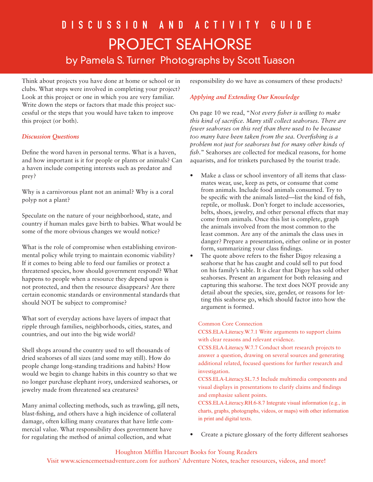# D I S C U S S I O N A N D A C T I V I T Y G U I D E Project seahorse by Pamela S. Turner Photographs by Scott Tuason

Think about projects you have done at home or school or in clubs. What steps were involved in completing your project? Look at this project or one in which you are very familiar. Write down the steps or factors that made this project successful or the steps that you would have taken to improve this project (or both).

### *Discussion Questions*

Define the word haven in personal terms. What is a haven, and how important is it for people or plants or animals? Can a haven include competing interests such as predator and prey?

Why is a carnivorous plant not an animal? Why is a coral polyp not a plant?

Speculate on the nature of your neighborhood, state, and country if human males gave birth to babies. What would be some of the more obvious changes we would notice?

What is the role of compromise when establishing environmental policy while trying to maintain economic viability? If it comes to being able to feed our families or protect a threatened species, how should government respond? What happens to people when a resource they depend upon is not protected, and then the resource disappears? Are there certain economic standards or environmental standards that should NOT be subject to compromise?

What sort of everyday actions have layers of impact that ripple through families, neighborhoods, cities, states, and countries, and out into the big wide world?

Shell shops around the country used to sell thousands of dried seahorses of all sizes (and some may still). How do people change long-standing traditions and habits? How would we begin to change habits in this country so that we no longer purchase elephant ivory, undersized seahorses, or jewelry made from threatened sea creatures?

Many animal collecting methods, such as trawling, gill nets, blast-fishing, and others have a high incidence of collateral damage, often killing many creatures that have little commercial value. What responsibility does government have for regulating the method of animal collection, and what

responsibility do we have as consumers of these products?

### *Applying and Extending Our Knowledge*

On page 10 we read, "*Not every fisher is willing to make this kind of sacrifice. Many still collect seahorses. There are fewer seahorses on this reef than there used to be because too many have been taken from the sea. Overfishing is a problem not just for seahorses but for many other kinds of fish.*" Seahorses are collected for medical reasons, for home aquarists, and for trinkets purchased by the tourist trade.

- Make a class or school inventory of all items that classmates wear, use, keep as pets, or consume that come from animals. Include food animals consumed. Try to be specific with the animals listed—list the kind of fish, reptile, or mollusk. Don't forget to include accessories, belts, shoes, jewelry, and other personal effects that may come from animals. Once this list is complete, graph the animals involved from the most common to the least common. Are any of the animals the class uses in danger? Prepare a presentation, either online or in poster form, summarizing your class findings.
- The quote above refers to the fisher Digoy releasing a seahorse that he has caught and could sell to put food on his family's table. It is clear that Digoy has sold other seahorses. Present an argument for both releasing and capturing this seahorse. The text does NOT provide any detail about the species, size, gender, or reasons for letting this seahorse go, which should factor into how the argument is formed.

#### Common Core Connection

CCSS.ELA-Literacy.W.7.1 Write arguments to support claims with clear reasons and relevant evidence.

CCSS.ELA-Literacy.W.7.7 Conduct short research projects to answer a question, drawing on several sources and generating additional related, focused questions for further research and investigation.

CCSS.ELA-Literacy.SL.7.5 Include multimedia components and visual displays in presentations to clarify claims and findings and emphasize salient points.

CCSS.ELA-Literacy.RH.6-8.7 Integrate visual information (e.g., in charts, graphs, photographs, videos, or maps) with other information in print and digital texts.

• Create a picture glossary of the forty different seahorses

### Houghton Mifflin Harcourt Books for Young Readers

Visit www.sciencemeetsadventure.com for authors' Adventure Notes, teacher resources, videos, and more!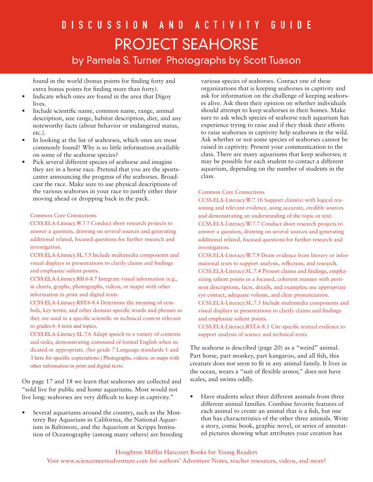found in the world (bonus points for finding forty and extra bonus points for finding more than forty).

- Indicate which ones are found in the area that Digoy lives.
- Include scientific name, common name, range, animal description, size range, habitat description, diet, and any noteworthy facts (about behavior or endangered status, etc.).
- In looking at the list of seahorses, which ones are most commonly found? Why is so little information available on some of the seahorse species?
- Pick several different species of seahorse and imagine they are in a horse race. Pretend that you are the sportscaster announcing the progress of the seahorses. Broadcast the race. Make sure to use physical descriptions of the various seahorses in your race to justify either their moving ahead or dropping back in the pack.

#### Common Core Connections

CCSS.ELA-Literacy.W.7.7 Conduct short research projects to answer a question, drawing on several sources and generating additional related, focused questions for further research and investigation.

CCSS.ELA-Literacy.SL.7.5 Include multimedia components and visual displays in presentations to clarify claims and findings and emphasize salient points.

CCSS.ELA-Literacy.RH.6-8.7 Integrate visual information (e.g., in charts, graphs, photographs, videos, or maps) with other information in print and digital texts.

CCSS.ELA-Literacy.RST.6-8.4 Determine the meaning of symbols, key terms, and other domain-specific words and phrases as they are used in a specific scientific or technical context relevant to grades 6–8 texts and topics.

CCSS.ELA-Literacy.SL.7.6 Adapt speech to a variety of contexts and tasks, demonstrating command of formal English when indicated or appropriate. (See grade 7 Language standards 1 and 3 here for specific expectations.) Photographs, videos, or maps with other information in print and digital texts.

On page 17 and 18 we learn that seahorses are collected and "sold live for public and home aquariums. Most would not live long: seahorses are very difficult to keep in captivity."

• Several aquariums around the country, such as the Monterey Bay Aquarium in California, the National Aquarium in Baltimore, and the Aquarium at Scripps Institution of Oceanography (among many others) are breeding

various species of seahorses. Contact one of these organizations that is keeping seahorses in captivity and ask for information on the challenge of keeping seahorses alive. Ask them their opinion on whether individuals should attempt to keep seahorses in their homes. Make sure to ask which species of seahorse each aquarium has experience trying to raise and if they think their efforts to raise seahorses in captivity help seahorses in the wild. Ask whether or not some species of seahorses cannot be raised in captivity. Present your communication to the class. There are many aquariums that keep seahorses; it may be possible for each student to contact a different aquarium, depending on the number of students in the class.

#### Common Core Connections

CCSS.ELA-Literacy.W.7.1b Support claim(s) with logical reasoning and relevant evidence, using accurate, credible sources and demonstrating an understanding of the topic or text. CCSS.ELA-Literacy.W.7.7 Conduct short research projects to answer a question, drawing on several sources and generating additional related, focused questions for further research and investigation.

CCSS.ELA-Literacy.W.7.9 Draw evidence from literary or informational texts to support analysis, reflection, and research. CCSS.ELA-Literacy.SL.7.4 Present claims and findings, emphasizing salient points in a focused, coherent manner with pertinent descriptions, facts, details, and examples; use appropriate eye contact, adequate volume, and clear pronunciation. CCSS.ELA-Literacy.SL.7.5 Include multimedia components and

visual displays in presentations to clarify claims and findings and emphasize salient points.

CCSS.ELA-Literacy.RST.6-8.1 Cite specific textual evidence to support analysis of science and technical texts.

The seahorse is described (page 20) as a "weird" animal. Part horse, part monkey, part kangaroo, and all fish, this creature does not seem to fit in any animal family. It lives in the ocean, wears a "suit of flexible armor," does not have scales, and swims oddly.

• Have students select three different animals from three different animal families. Combine favorite features of each animal to create an animal that is a fish, but one that has characteristics of the other three animals. Write a story, comic book, graphic novel, or series of annotated pictures showing what attributes your creation has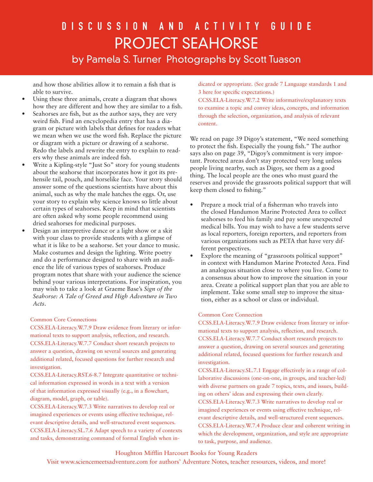# D I S C U S S I O N A N D A C T I V I T Y G U I D E Project seahorse by Pamela S. Turner Photographs by Scott Tuason

and how those abilities allow it to remain a fish that is able to survive.

- Using these three animals, create a diagram that shows how they are different and how they are similar to a fish.
- Seahorses are fish, but as the author says, they are very weird fish. Find an encyclopedia entry that has a diagram or picture with labels that defines for readers what we mean when we use the word fish. Replace the picture or diagram with a picture or drawing of a seahorse. Redo the labels and rewrite the entry to explain to readers why these animals are indeed fish.
- Write a Kipling-style "Just So" story for young students about the seahorse that incorporates how it got its prehensile tail, pouch, and horselike face. Your story should answer some of the questions scientists have about this animal, such as why the male hatches the eggs. Or, use your story to explain why science knows so little about certain types of seahorses. Keep in mind that scientists are often asked why some people recommend using dried seahorses for medicinal purposes.
- Design an interpretive dance or a light show or a skit with your class to provide students with a glimpse of what it is like to be a seahorse. Set your dance to music. Make costumes and design the lighting. Write poetry and do a performance designed to share with an audience the life of various types of seahorses. Produce program notes that share with your audience the science behind your various interpretations. For inspiration, you may wish to take a look at Graeme Base's *Sign of the Seahorse: A Tale of Greed and High Adventure in Two Acts*.

#### Common Core Connections

CCSS.ELA-Literacy.W.7.9 Draw evidence from literary or informational texts to support analysis, reflection, and research. CCSS.ELA-Literacy.W.7.7 Conduct short research projects to answer a question, drawing on several sources and generating additional related, focused questions for further research and investigation.

CCSS.ELA-Literacy.RST.6-8.7 Integrate quantitative or technical information expressed in words in a text with a version of that information expressed visually (e.g., in a flowchart, diagram, model, graph, or table).

CCSS.ELA-Literacy.W.7.3 Write narratives to develop real or imagined experiences or events using effective technique, relevant descriptive details, and well-structured event sequences. CCSS.ELA-Literacy.SL.7.6 Adapt speech to a variety of contexts and tasks, demonstrating command of formal English when indicated or appropriate. (See grade 7 Language standards 1 and 3 here for specific expectations.)

CCSS.ELA-Literacy.W.7.2 Write informative/explanatory texts to examine a topic and convey ideas, concepts, and information through the selection, organization, and analysis of relevant content.

We read on page 39 Digoy's statement, "We need something to protect the fish. Especially the young fish." The author says also on page 39, "Digoy's commitment is very important. Protected areas don't stay protected very long unless people living nearby, such as Digoy, see them as a good thing. The local people are the ones who must guard the reserves and provide the grassroots political support that will keep them closed to fishing."

- Prepare a mock trial of a fisherman who travels into the closed Handumon Marine Protected Area to collect seahorses to feed his family and pay some unexpected medical bills. You may wish to have a few students serve as local reporters, foreign reporters, and reporters from various organizations such as PETA that have very different perspectives.
- Explore the meaning of "grassroots political support" in context with Handumon Marine Protected Area. Find an analogous situation close to where you live. Come to a consensus about how to improve the situation in your area. Create a political support plan that you are able to implement. Take some small step to improve the situation, either as a school or class or individual.

#### Common Core Connection

CCSS.ELA-Literacy.W.7.9 Draw evidence from literary or informational texts to support analysis, reflection, and research. CCSS.ELA-Literacy.W.7.7 Conduct short research projects to answer a question, drawing on several sources and generating additional related, focused questions for further research and investigation.

CCSS.ELA-Literacy.SL.7.1 Engage effectively in a range of collaborative discussions (one-on-one, in groups, and teacher-led) with diverse partners on grade 7 topics, texts, and issues, building on others' ideas and expressing their own clearly. CCSS.ELA-Literacy.W.7.3 Write narratives to develop real or imagined experiences or events using effective technique, relevant descriptive details, and well-structured event sequences. CCSS.ELA-Literacy.W.7.4 Produce clear and coherent writing in which the development, organization, and style are appropriate to task, purpose, and audience.

## Houghton Mifflin Harcourt Books for Young Readers

Visit www.sciencemeetsadventure.com for authors' Adventure Notes, teacher resources, videos, and more!